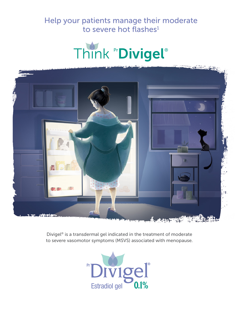Help your patients manage their moderate to severe hot flashes<sup>1</sup>





Divigel® is a transdermal gel indicated in the treatment of moderate to severe vasomotor symptoms (MSVS) associated with menopause.

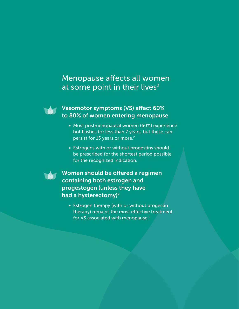### Menopause affects all women at some point in their lives<sup>2</sup>



### Vasomotor symptoms (VS) affect 60% to 80% of women entering menopause

- Most postmenopausal women (60%) experience hot flashes for less than 7 years, but these can persist for 15 years or more.2
- Estrogens with or without progestins should be prescribed for the shortest period possible for the recognized indication.



Women should be offered a regimen containing both estrogen and progestogen (unless they have had a hysterectomy) $2$ 

> • Estrogen therapy (with or without progestin therapy) remains the most effective treatment for VS associated with menopause.2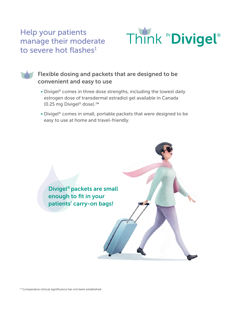# Help your patients to severe hot flashes<sup>1</sup>



### Flexible dosing and packets that are designed to be convenient and easy to use

- Divigel<sup>®</sup> comes in three dose strengths, including the lowest daily estrogen dose of transdermal estradiol gel available in Canada (0.25 mg Divigel® dose).3 \*
- Divigel® comes in small, portable packets that were designed to be easy to use at home and travel-friendly.

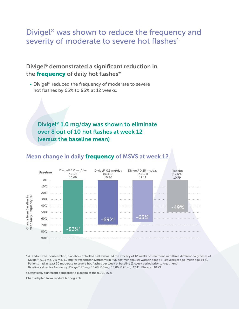### Divigel® was shown to reduce the frequency and severity of moderate to severe hot flashes<sup>1</sup>

### Divigel® demonstrated a significant reduction in the frequency of daily hot flashes\*

• Divigel® reduced the frequency of moderate to severe hot flashes by 65% to 83% at 12 weeks.

Divigel® 1.0 mg/day was shown to eliminate over 8 out of 10 hot flashes at week 12 (versus the baseline mean)



### Mean change in daily frequency of MSVS at week 12

\* A randomized, double-blind, placebo-controlled trial evaluated the efficacy of 12 weeks of treatment with three different daily doses of Divigel®: 0.25 mg, 0.5 mg, 1.0 mg for vasomotor symptoms in 495 postmenopausal women ages 34–89 years of age (mean age 54.6). Patients had at least 50 moderate to severe hot flashes per week at baseline (2-week period prior to treatment). Baseline values for frequency; Divigel® 1.0 mg: 10.69; 0.5 mg: 10.86; 0.25 mg: 12.11; Placebo: 10.79.

† Statistically significant compared to placebo at the 0.001 level.

Chart adapted from Product Monograph.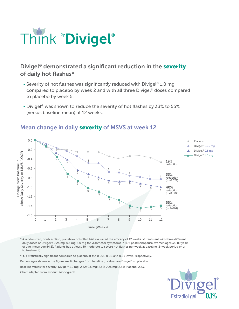

### Divigel® demonstrated a significant reduction in the severity of daily hot flashes\*

- Severity of hot flashes was significantly reduced with Divigel® 1.0 mg compared to placebo by week 2 and with all three Divigel® doses compared to placebo by week 5.
- Divigel® was shown to reduce the severity of hot flashes by 33% to 55% (versus baseline mean) at 12 weeks.



#### Mean change in daily severity of MSVS at week 12

\* A randomized, double-blind, placebo-controlled trial evaluated the efficacy of 12 weeks of treatment with three different daily doses of Divigel®: 0.25 mg, 0.5 mg, 1.0 mg for vasomotor symptoms in 495 postmenopausal women ages 34-89 years of age (mean age 54.6). Patients had at least 50 moderate to severe hot flashes per week at baseline (2-week period prior to treatment).

†, ‡, § Statistically significant compared to placebo at the 0.001, 0.01, and 0.05 levels, respectively.

Percentages shown in the figure are % changes from baseline. *p* values are Divigel® vs. placebo.

Baseline values for severity: Divigel® 1.0 mg: 2.52; 0.5 mg: 2.52; 0.25 mg: 2.53; Placebo: 2.53.

Chart adapted from Product Monograph

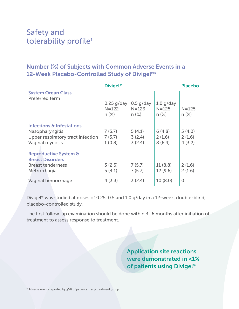### Safety and tolerability profile<sup>1</sup>

### Number (%) of Subjects with Common Adverse Events in a 12-Week Placebo-Controlled Study of Divigel®\*

|                                                                                                         | <b>Divigel®</b>                       |                                      |                                      | <b>Placebo</b>             |
|---------------------------------------------------------------------------------------------------------|---------------------------------------|--------------------------------------|--------------------------------------|----------------------------|
| <b>System Organ Class</b><br>Preferred term                                                             | $0.25$ g/day<br>$N = 122$<br>$n (\%)$ | $0.5$ g/day<br>$N = 123$<br>$n (\%)$ | $1.0$ g/day<br>$N = 125$<br>$n (\%)$ | $N = 125$<br>$n (\%)$      |
| Infections & Infestations<br>Nasopharyngitis<br>Upper respiratory tract infection<br>Vaginal mycosis    | 7(5.7)<br>7(5.7)<br>1(0.8)            | 5(4.1)<br>3(2.4)<br>3(2.4)           | 6(4.8)<br>2(1.6)<br>8(6.4)           | 5(4.0)<br>2(1.6)<br>4(3.2) |
| <b>Reproductive System &amp;</b><br><b>Breast Disorders</b><br><b>Breast tenderness</b><br>Metrorrhagia | 3(2.5)<br>5(4.1)                      | 7(5.7)<br>7(5.7)                     | 11(8.8)<br>12(9.6)                   | 2(1.6)<br>2(1.6)           |
| Vaginal hemorrhage                                                                                      | 4(3.3)                                | 3(2.4)                               | 10(8.0)                              | $\overline{0}$             |

Divigel® was studied at doses of 0.25, 0.5 and 1.0 g/day in a 12-week, double-blind, placebo-controlled study.

The first follow-up examination should be done within 3–6 months after initiation of treatment to assess response to treatment.

> Application site reactions were demonstrated in <1% of patients using Divigel®

\* Adverse events reported by ≥5% of patients in any treatment group.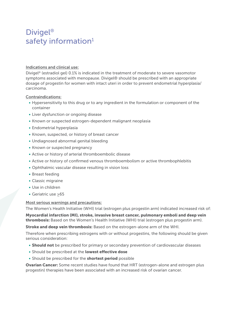### Divigel® safety information<sup>1</sup>

#### Indications and clinical use:

Divigel® (estradiol gel) 0.1% is indicated in the treatment of moderate to severe vasomotor symptoms associated with menopause. Divigel® should be prescribed with an appropriate dosage of progestin for women with intact uteri in order to prevent endometrial hyperplasia/ carcinoma.

#### Contraindications:

- Hypersensitivity to this drug or to any ingredient in the formulation or component of the container
- Liver dysfunction or ongoing disease
- Known or suspected estrogen-dependent malignant neoplasia
- Endometrial hyperplasia
- Known, suspected, or history of breast cancer
- Undiagnosed abnormal genital bleeding
- Known or suspected pregnancy
- Active or history of arterial thromboembolic disease
- Active or history of confirmed venous thromboembolism or active thrombophlebitis
- Ophthalmic vascular disease resulting in vision loss
- Breast feeding
- Classic migraine
- Use in children
- Geriatric use ≥65

#### Most serious warnings and precautions:

The Women's Health Initiative (WHI) trial (estrogen plus progestin arm) indicated increased risk of:

Myocardial infarction (MI), stroke, invasive breast cancer, pulmonary emboli and deep vein thrombosis: Based on the Women's Health Initiative (WHI) trial (estrogen plus progestin arm).

Stroke and deep vein thrombosis: Based on the estrogen-alone arm of the WHI.

Therefore when prescribing estrogens with or without progestins, the following should be given serious consideration:

- Should not be prescribed for primary or secondary prevention of cardiovascular diseases
- Should be prescribed at the lowest effective dose
- Should be prescribed for the **shortest period** possible

**Ovarian Cancer:** Some recent studies have found that HRT (estrogen-alone and estrogen plus progestin) therapies have been associated with an increased risk of ovarian cancer.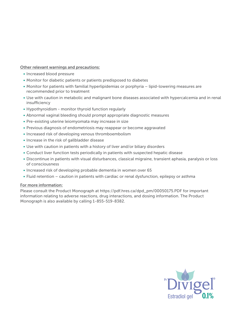#### Other relevant warnings and precautions:

- Increased blood pressure
- Monitor for diabetic patients or patients predisposed to diabetes
- Monitor for patients with familial hyperlipidemias or porphyria lipid-lowering measures are recommended prior to treatment
- Use with caution in metabolic and malignant bone diseases associated with hypercalcemia and in renal insufficiency
- Hypothyroidism monitor thyroid function regularly
- Abnormal vaginal bleeding should prompt appropriate diagnostic measures
- Pre-existing uterine leiomyomata may increase in size
- Previous diagnosis of endometriosis may reappear or become aggravated
- Increased risk of developing venous thromboembolism
- Increase in the risk of gallbladder disease
- Use with caution in patients with a history of liver and/or biliary disorders
- Conduct liver function tests periodically in patients with suspected hepatic disease
- Discontinue in patients with visual disturbances, classical migraine, transient aphasia, paralysis or loss of consciousness
- Increased risk of developing probable dementia in women over 65
- Fluid retention caution in patients with cardiac or renal dysfunction, epilepsy or asthma

#### For more information:

Please consult the Product Monograph at https://pdf.hres.ca/dpd\_pm/00050175.PDF for important information relating to adverse reactions, drug interactions, and dosing information. The Product Monograph is also available by calling 1-855-519-8382.

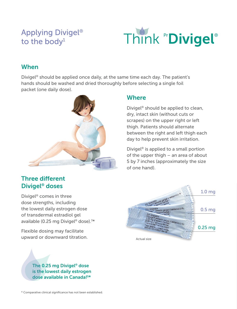## Applying Divigel® to the body<sup>1</sup>



### When

Divigel® should be applied once daily, at the same time each day. The patient's hands should be washed and dried thoroughly before selecting a single foil packet (one daily dose).



### Three different Divigel® doses

Divigel® comes in three dose strengths, including the lowest daily estrogen dose of transdermal estradiol gel available (0.25 mg Divigel® dose).<sup>3\*</sup>

Flexible dosing may facilitate upward or downward titration.

### **Where**

Divigel® should be applied to clean, dry, intact skin (without cuts or scrapes) on the upper right or left thigh. Patients should alternate between the right and left thigh each day to help prevent skin irritation.

Divigel® is applied to a small portion of the upper thigh – an area of about 5 by 7 inches (approximately the size of one hand).



The 0.25 mg Divigel® dose is the lowest daily estrogen dose available in Canada!<sup>5\*</sup>